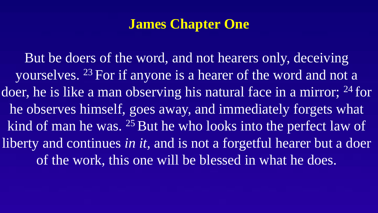# **James Chapter One**

But be doers of the word, and not hearers only, deceiving yourselves. <sup>23</sup> For if anyone is a hearer of the word and not a doer, he is like a man observing his natural face in a mirror; <sup>24</sup> for he observes himself, goes away, and immediately forgets what kind of man he was. <sup>25</sup> But he who looks into the perfect law of liberty and continues *in it,* and is not a forgetful hearer but a doer of the work, this one will be blessed in what he does.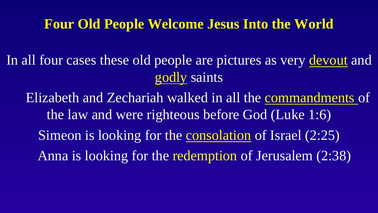#### **Four Old People Welcome Jesus Into the World**

In all four cases these old people are pictures as very devout and godly saints

Elizabeth and Zechariah walked in all the commandments of the law and were righteous before God (Luke 1:6) Simeon is looking for the consolation of Israel (2:25) Anna is looking for the redemption of Jerusalem (2:38)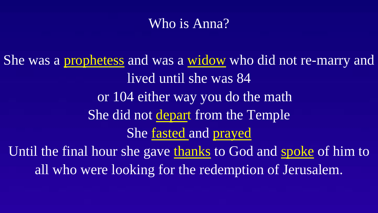# Who is Anna?

She was a prophetess and was a widow who did not re-marry and lived until she was 84 or 104 either way you do the math She did not depart from the Temple She fasted and prayed Until the final hour she gave thanks to God and spoke of him to all who were looking for the redemption of Jerusalem.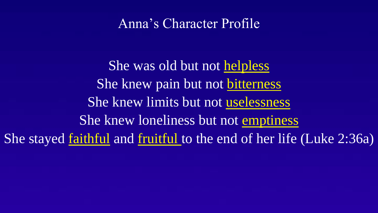#### Anna's Character Profile

She was old but not helpless She knew pain but not bitterness She knew limits but not uselessness She knew loneliness but not emptiness She stayed <u>faithful</u> and fruitful to the end of her life (Luke 2:36a)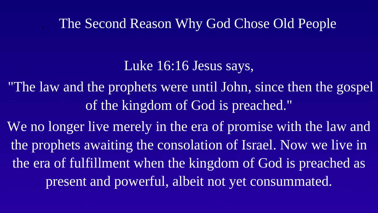### . The Second Reason Why God Chose Old People

# Luke 16:16 Jesus says,

"The law and the prophets were until John, since then the gospel of the kingdom of God is preached."

We no longer live merely in the era of promise with the law and the prophets awaiting the consolation of Israel. Now we live in the era of fulfillment when the kingdom of God is preached as present and powerful, albeit not yet consummated.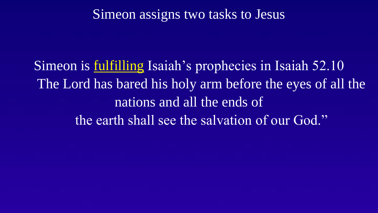## Simeon assigns two tasks to Jesus

Simeon is fulfilling Isaiah's prophecies in Isaiah 52.10 The Lord has bared his holy arm before the eyes of all the nations and all the ends of the earth shall see the salvation of our God."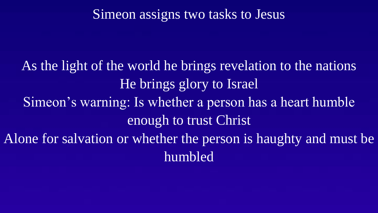### Simeon assigns two tasks to Jesus

As the light of the world he brings revelation to the nations He brings glory to Israel Simeon's warning: Is whether a person has a heart humble enough to trust Christ Alone for salvation or whether the person is haughty and must be humbled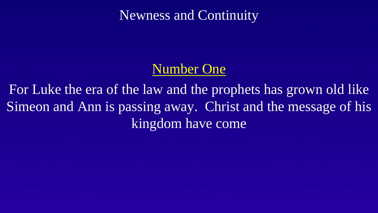## Newness and Continuity

# Number One

For Luke the era of the law and the prophets has grown old like Simeon and Ann is passing away. Christ and the message of his kingdom have come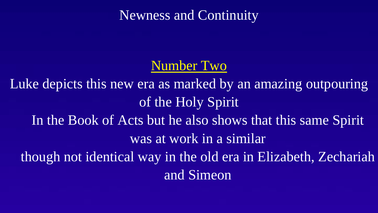Newness and Continuity

### Number Two

Luke depicts this new era as marked by an amazing outpouring of the Holy Spirit In the Book of Acts but he also shows that this same Spirit was at work in a similar though not identical way in the old era in Elizabeth, Zechariah and Simeon